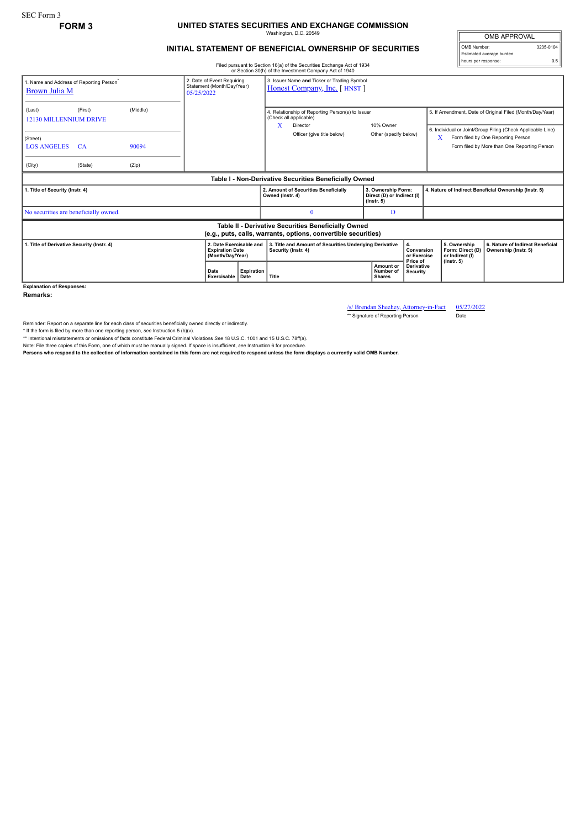SEC Form 3

## **FORM 3 UNITED STATES SECURITIES AND EXCHANGE COMMISSION** Washington, D.C. 20549

## **INITIAL STATEMENT OF BENEFICIAL OWNERSHIP OF SECURITIES**

OMB APPROVAL OMB Number: 3235-0104 Estimated average burden hours per response: 0.5

Filed pursuant to Section 16(a) of the Securities Exchange Act of 1934 or Section 30(h) of the Investment Company Act of 1940

| or Secuon 30(n) or the investment Company Act or 1940                                                                 |                                                                        |                |                                                                       |                                                                            |                  |                                                                                                                      |  |                                                                      |                  |                                                                                                                                                                    |  |                                                          |
|-----------------------------------------------------------------------------------------------------------------------|------------------------------------------------------------------------|----------------|-----------------------------------------------------------------------|----------------------------------------------------------------------------|------------------|----------------------------------------------------------------------------------------------------------------------|--|----------------------------------------------------------------------|------------------|--------------------------------------------------------------------------------------------------------------------------------------------------------------------|--|----------------------------------------------------------|
| 1. Name and Address of Reporting Person <sup>*</sup><br>Brown Julia M                                                 | 2. Date of Event Requiring<br>Statement (Month/Day/Year)<br>05/25/2022 |                |                                                                       | 3. Issuer Name and Ticker or Trading Symbol<br>Honest Company, Inc. [HNST] |                  |                                                                                                                      |  |                                                                      |                  |                                                                                                                                                                    |  |                                                          |
| (Last)<br>12130 MILLENNIUM DRIVE<br>(Street)                                                                          | (First)                                                                | (Middle)       |                                                                       |                                                                            | $\mathbf x$      | 4. Relationship of Reporting Person(s) to Issuer<br>(Check all applicable)<br>Director<br>Officer (give title below) |  | 10% Owner<br>Other (specify below)                                   |                  | 5. If Amendment, Date of Original Filed (Month/Day/Year)<br>6. Individual or Joint/Group Filing (Check Applicable Line)<br>x<br>Form filed by One Reporting Person |  |                                                          |
| <b>LOS ANGELES</b><br>(City)                                                                                          | - CA<br>(State)                                                        | 90094<br>(Zip) |                                                                       |                                                                            |                  |                                                                                                                      |  |                                                                      |                  |                                                                                                                                                                    |  | Form filed by More than One Reporting Person             |
| Table I - Non-Derivative Securities Beneficially Owned                                                                |                                                                        |                |                                                                       |                                                                            |                  |                                                                                                                      |  |                                                                      |                  |                                                                                                                                                                    |  |                                                          |
| 1. Title of Security (Instr. 4)                                                                                       |                                                                        |                |                                                                       |                                                                            | Owned (Instr. 4) | 2. Amount of Securities Beneficially                                                                                 |  | 3. Ownership Form:<br>Direct (D) or Indirect (I)<br>$($ lnstr. 5 $)$ |                  |                                                                                                                                                                    |  | 4. Nature of Indirect Beneficial Ownership (Instr. 5)    |
| No securities are beneficially owned.                                                                                 |                                                                        |                |                                                                       |                                                                            |                  | $\mathbf{0}$                                                                                                         |  | D                                                                    |                  |                                                                                                                                                                    |  |                                                          |
| Table II - Derivative Securities Beneficially Owned<br>(e.g., puts, calls, warrants, options, convertible securities) |                                                                        |                |                                                                       |                                                                            |                  |                                                                                                                      |  |                                                                      |                  |                                                                                                                                                                    |  |                                                          |
| 1. Title of Derivative Security (Instr. 4)                                                                            |                                                                        |                | 2. Date Exercisable and<br><b>Expiration Date</b><br>(Month/Day/Year) |                                                                            |                  | 3. Title and Amount of Securities Underlying Derivative<br>Security (Instr. 4)                                       |  | 4.                                                                   |                  | 5. Ownership<br>Conversion<br>Form: Direct (D)<br>or Exercise<br>or Indirect (I)                                                                                   |  | 6. Nature of Indirect Beneficial<br>Ownership (Instr. 5) |
|                                                                                                                       |                                                                        |                | Date                                                                  | <b>Expiration</b><br>Exercisable<br>Date                                   | Title            | Amount or<br>Number of<br><b>Shares</b>                                                                              |  | Price of<br>Derivative<br><b>Security</b>                            | $($ lnstr. 5 $)$ |                                                                                                                                                                    |  |                                                          |
| <b>Explanation of Responses:</b>                                                                                      |                                                                        |                |                                                                       |                                                                            |                  |                                                                                                                      |  |                                                                      |                  |                                                                                                                                                                    |  |                                                          |

**Remarks:**

/s/ Brendan Sheehey, Attorney-in-Fact 05/27/2022<br>\*\* Signature of Reporting Person Date

\*\* Signature of Reporting Person

Reminder: Report on a separate line for each class of securities beneficially owned directly or indirectly.

\* If the form is filed by more than one reporting person, *see* Instruction 5 (b)(v).

\*\* Intentional misstatements or omissions of facts constitute Federal Criminal Violations *See* 18 U.S.C. 1001 and 15 U.S.C. 78ff(a).

Note: File three copies of this Form, one of which must be manually signed. If space is insufficient, *see* Instruction 6 for procedure.

**Persons who respond to the collection of information contained in this form are not required to respond unless the form displays a currently valid OMB Number.**